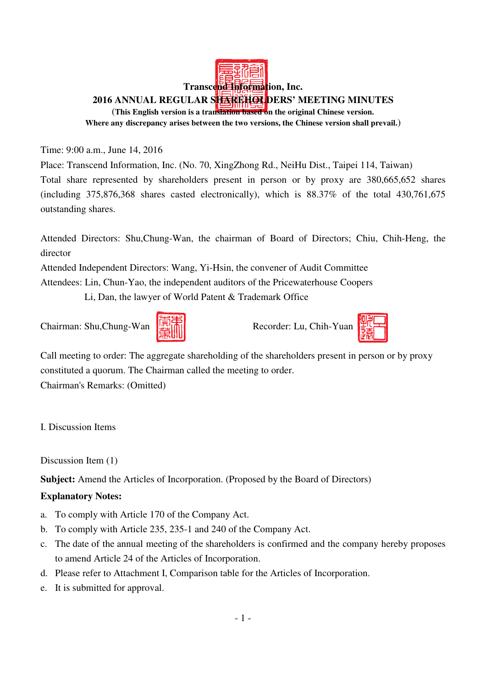# **Transcend Information, Inc. 2016 ANNUAL REGULAR SHAREHOLDERS' MEETING MINUTES**  (**This English version is a translation based on the original Chinese version. Where any discrepancy arises between the two versions, the Chinese version shall prevail.**)

Time: 9:00 a.m., June 14, 2016

Place: Transcend Information, Inc. (No. 70, XingZhong Rd., NeiHu Dist., Taipei 114, Taiwan) Total share represented by shareholders present in person or by proxy are 380,665,652 shares (including 375,876,368 shares casted electronically), which is 88.37% of the total 430,761,675 outstanding shares.

Attended Directors: Shu,Chung-Wan, the chairman of Board of Directors; Chiu, Chih-Heng, the director

Attended Independent Directors: Wang, Yi-Hsin, the convener of Audit Committee

Attendees: Lin, Chun-Yao, the independent auditors of the Pricewaterhouse Coopers

Li, Dan, the lawyer of World Patent & Trademark Office







Call meeting to order: The aggregate shareholding of the shareholders present in person or by proxy constituted a quorum. The Chairman called the meeting to order.

Chairman's Remarks: (Omitted)

I. Discussion Items

Discussion Item (1)

**Subject:** Amend the Articles of Incorporation. (Proposed by the Board of Directors)

### **Explanatory Notes:**

- a. To comply with Article 170 of the Company Act.
- b. To comply with Article 235, 235-1 and 240 of the Company Act.
- c. The date of the annual meeting of the shareholders is confirmed and the company hereby proposes to amend Article 24 of the Articles of Incorporation.
- d. Please refer to Attachment I, Comparison table for the Articles of Incorporation.
- e. It is submitted for approval.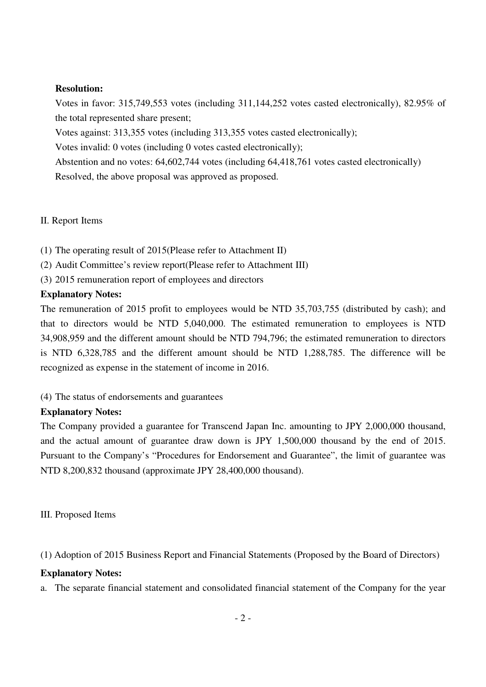#### **Resolution:**

Votes in favor: 315,749,553 votes (including 311,144,252 votes casted electronically), 82.95% of the total represented share present;

Votes against: 313,355 votes (including 313,355 votes casted electronically);

Votes invalid: 0 votes (including 0 votes casted electronically);

Abstention and no votes: 64,602,744 votes (including 64,418,761 votes casted electronically)

Resolved, the above proposal was approved as proposed.

### II. Report Items

(1) The operating result of 2015(Please refer to Attachment II)

(2) Audit Committee's review report(Please refer to Attachment III)

(3) 2015 remuneration report of employees and directors

### **Explanatory Notes:**

The remuneration of 2015 profit to employees would be NTD 35,703,755 (distributed by cash); and that to directors would be NTD 5,040,000. The estimated remuneration to employees is NTD 34,908,959 and the different amount should be NTD 794,796; the estimated remuneration to directors is NTD 6,328,785 and the different amount should be NTD 1,288,785. The difference will be recognized as expense in the statement of income in 2016.

(4) The status of endorsements and guarantees

# **Explanatory Notes:**

The Company provided a guarantee for Transcend Japan Inc. amounting to JPY 2,000,000 thousand, and the actual amount of guarantee draw down is JPY 1,500,000 thousand by the end of 2015. Pursuant to the Company's "Procedures for Endorsement and Guarantee", the limit of guarantee was NTD 8,200,832 thousand (approximate JPY 28,400,000 thousand).

III. Proposed Items

(1) Adoption of 2015 Business Report and Financial Statements (Proposed by the Board of Directors)

# **Explanatory Notes:**

a. The separate financial statement and consolidated financial statement of the Company for the year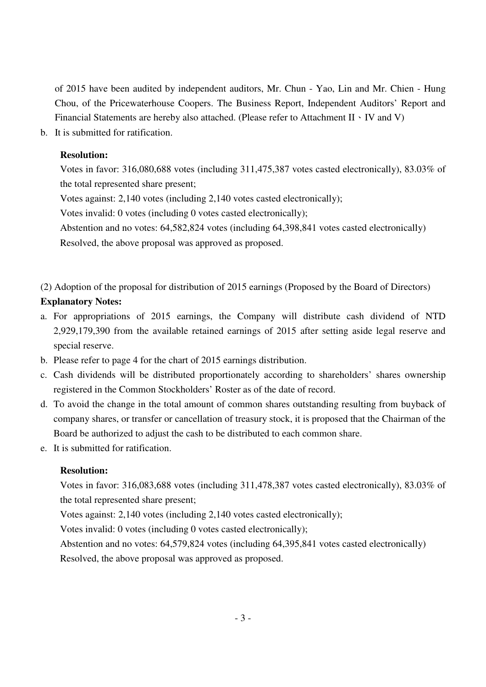of 2015 have been audited by independent auditors, Mr. Chun - Yao, Lin and Mr. Chien - Hung Chou, of the Pricewaterhouse Coopers. The Business Report, Independent Auditors' Report and Financial Statements are hereby also attached. (Please refer to Attachment II  $\cdot$  IV and V)

b. It is submitted for ratification.

#### **Resolution:**

Votes in favor: 316,080,688 votes (including 311,475,387 votes casted electronically), 83.03% of the total represented share present;

Votes against: 2,140 votes (including 2,140 votes casted electronically);

Votes invalid: 0 votes (including 0 votes casted electronically);

Abstention and no votes: 64,582,824 votes (including 64,398,841 votes casted electronically)

Resolved, the above proposal was approved as proposed.

(2) Adoption of the proposal for distribution of 2015 earnings (Proposed by the Board of Directors)

### **Explanatory Notes:**

- a. For appropriations of 2015 earnings, the Company will distribute cash dividend of NTD 2,929,179,390 from the available retained earnings of 2015 after setting aside legal reserve and special reserve.
- b. Please refer to page 4 for the chart of 2015 earnings distribution.
- c. Cash dividends will be distributed proportionately according to shareholders' shares ownership registered in the Common Stockholders' Roster as of the date of record.
- d. To avoid the change in the total amount of common shares outstanding resulting from buyback of company shares, or transfer or cancellation of treasury stock, it is proposed that the Chairman of the Board be authorized to adjust the cash to be distributed to each common share.
- e. It is submitted for ratification.

### **Resolution:**

Votes in favor: 316,083,688 votes (including 311,478,387 votes casted electronically), 83.03% of the total represented share present;

Votes against: 2,140 votes (including 2,140 votes casted electronically);

Votes invalid: 0 votes (including 0 votes casted electronically);

Abstention and no votes: 64,579,824 votes (including 64,395,841 votes casted electronically)

Resolved, the above proposal was approved as proposed.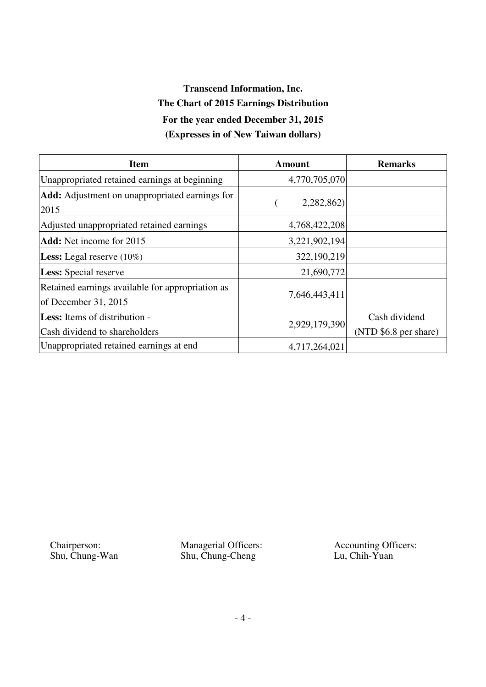# **Transcend Information, Inc. The Chart of 2015 Earnings Distribution For the year ended December 31, 2015 (Expresses in of New Taiwan dollars)**

| <b>Item</b>                                                              | Amount        | <b>Remarks</b>        |
|--------------------------------------------------------------------------|---------------|-----------------------|
| Unappropriated retained earnings at beginning                            | 4,770,705,070 |                       |
| <b>Add:</b> Adjustment on unappropriated earnings for<br>2015            | 2,282,862)    |                       |
| Adjusted unappropriated retained earnings                                | 4,768,422,208 |                       |
| <b>Add:</b> Net income for 2015                                          | 3,221,902,194 |                       |
| <b>Less:</b> Legal reserve $(10\%)$                                      | 322,190,219   |                       |
| <b>Less:</b> Special reserve                                             | 21,690,772    |                       |
| Retained earnings available for appropriation as<br>of December 31, 2015 | 7,646,443,411 |                       |
| <b>Less:</b> Items of distribution -                                     |               | Cash dividend         |
| Cash dividend to shareholders                                            | 2,929,179,390 | (NTD \$6.8 per share) |
| Unappropriated retained earnings at end                                  | 4,717,264,021 |                       |

Chairperson: Shu, Chung-Wan Managerial Officers: Shu, Chung-Cheng

Accounting Officers: Lu, Chih-Yuan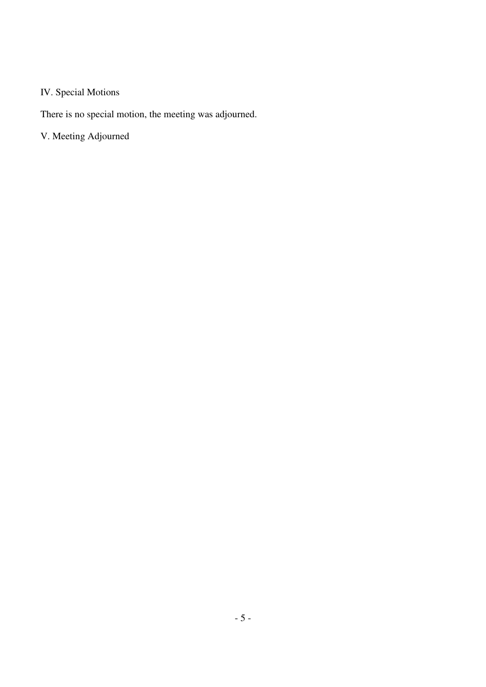# IV. Special Motions

There is no special motion, the meeting was adjourned.

V. Meeting Adjourned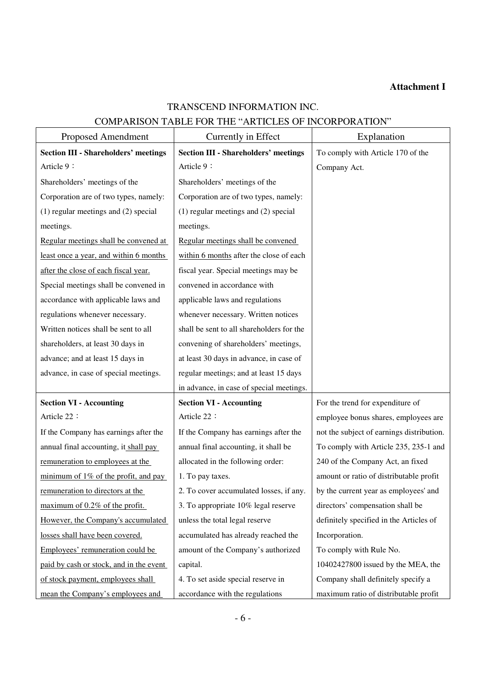### **Attachment I**

# TRANSCEND INFORMATION INC.

## COMPARISON TABLE FOR THE "ARTICLES OF INCORPORATION"

| Proposed Amendment                          | Currently in Effect                         | Explanation                               |
|---------------------------------------------|---------------------------------------------|-------------------------------------------|
| <b>Section III - Shareholders' meetings</b> | <b>Section III - Shareholders' meetings</b> | To comply with Article 170 of the         |
| Article 9:                                  | Article 9:                                  | Company Act.                              |
| Shareholders' meetings of the               | Shareholders' meetings of the               |                                           |
| Corporation are of two types, namely:       | Corporation are of two types, namely:       |                                           |
| $(1)$ regular meetings and $(2)$ special    | $(1)$ regular meetings and $(2)$ special    |                                           |
| meetings.                                   | meetings.                                   |                                           |
| Regular meetings shall be convened at       | Regular meetings shall be convened          |                                           |
| least once a year, and within 6 months      | within 6 months after the close of each     |                                           |
| after the close of each fiscal year.        | fiscal year. Special meetings may be        |                                           |
| Special meetings shall be convened in       | convened in accordance with                 |                                           |
| accordance with applicable laws and         | applicable laws and regulations             |                                           |
| regulations whenever necessary.             | whenever necessary. Written notices         |                                           |
| Written notices shall be sent to all        | shall be sent to all shareholders for the   |                                           |
| shareholders, at least 30 days in           | convening of shareholders' meetings,        |                                           |
| advance; and at least 15 days in            | at least 30 days in advance, in case of     |                                           |
| advance, in case of special meetings.       | regular meetings; and at least 15 days      |                                           |
|                                             | in advance, in case of special meetings.    |                                           |
| <b>Section VI - Accounting</b>              | <b>Section VI - Accounting</b>              | For the trend for expenditure of          |
| Article 22:                                 | Article 22:                                 | employee bonus shares, employees are      |
| If the Company has earnings after the       | If the Company has earnings after the       | not the subject of earnings distribution. |
| annual final accounting, it shall pay       | annual final accounting, it shall be        | To comply with Article 235, 235-1 and     |
| remuneration to employees at the            | allocated in the following order:           | 240 of the Company Act, an fixed          |
| minimum of $1\%$ of the profit, and pay     | 1. To pay taxes.                            | amount or ratio of distributable profit   |
| remuneration to directors at the            | 2. To cover accumulated losses, if any.     | by the current year as employees' and     |
| maximum of 0.2% of the profit.              | 3. To appropriate 10% legal reserve         | directors' compensation shall be          |
| However, the Company's accumulated          | unless the total legal reserve              | definitely specified in the Articles of   |
| losses shall have been covered.             | accumulated has already reached the         | Incorporation.                            |
| Employees' remuneration could be            | amount of the Company's authorized          | To comply with Rule No.                   |
| paid by cash or stock, and in the event     | capital.                                    | 10402427800 issued by the MEA, the        |
| of stock payment, employees shall           | 4. To set aside special reserve in          | Company shall definitely specify a        |
| mean the Company's employees and            | accordance with the regulations             | maximum ratio of distributable profit     |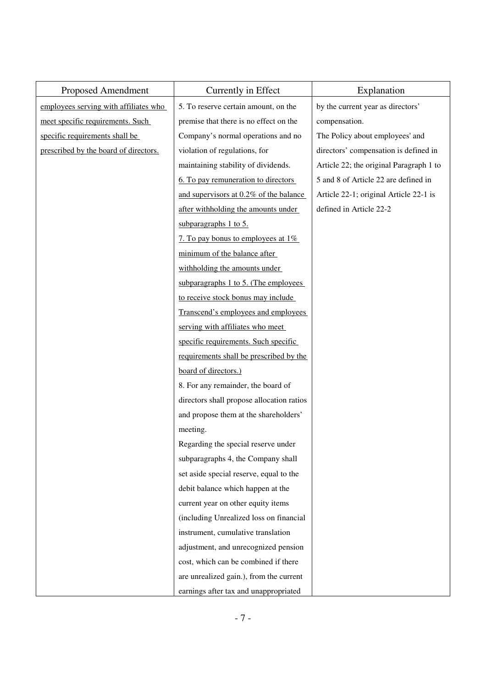| Proposed Amendment                    | Currently in Effect                       | Explanation                             |  |  |  |
|---------------------------------------|-------------------------------------------|-----------------------------------------|--|--|--|
| employees serving with affiliates who | 5. To reserve certain amount, on the      | by the current year as directors'       |  |  |  |
| meet specific requirements. Such      | premise that there is no effect on the    | compensation.                           |  |  |  |
| specific requirements shall be        | Company's normal operations and no        | The Policy about employees' and         |  |  |  |
| prescribed by the board of directors. | violation of regulations, for             | directors' compensation is defined in   |  |  |  |
|                                       | maintaining stability of dividends.       | Article 22; the original Paragraph 1 to |  |  |  |
|                                       | 6. To pay remuneration to directors       | 5 and 8 of Article 22 are defined in    |  |  |  |
|                                       | and supervisors at 0.2% of the balance    | Article 22-1; original Article 22-1 is  |  |  |  |
|                                       | after withholding the amounts under       | defined in Article 22-2                 |  |  |  |
|                                       | subparagraphs $1$ to $5$ .                |                                         |  |  |  |
|                                       | 7. To pay bonus to employees at 1%        |                                         |  |  |  |
|                                       | minimum of the balance after              |                                         |  |  |  |
|                                       | withholding the amounts under             |                                         |  |  |  |
|                                       | subparagraphs 1 to 5. (The employees      |                                         |  |  |  |
|                                       | to receive stock bonus may include        |                                         |  |  |  |
|                                       | Transcend's employees and employees       |                                         |  |  |  |
|                                       | serving with affiliates who meet          |                                         |  |  |  |
|                                       | specific requirements. Such specific      |                                         |  |  |  |
|                                       | requirements shall be prescribed by the   |                                         |  |  |  |
|                                       | board of directors.)                      |                                         |  |  |  |
|                                       | 8. For any remainder, the board of        |                                         |  |  |  |
|                                       | directors shall propose allocation ratios |                                         |  |  |  |
|                                       | and propose them at the shareholders'     |                                         |  |  |  |
|                                       | meeting.                                  |                                         |  |  |  |
|                                       | Regarding the special reserve under       |                                         |  |  |  |
|                                       | subparagraphs 4, the Company shall        |                                         |  |  |  |
|                                       | set aside special reserve, equal to the   |                                         |  |  |  |
|                                       | debit balance which happen at the         |                                         |  |  |  |
|                                       | current year on other equity items        |                                         |  |  |  |
|                                       | (including Unrealized loss on financial   |                                         |  |  |  |
|                                       | instrument, cumulative translation        |                                         |  |  |  |
|                                       | adjustment, and unrecognized pension      |                                         |  |  |  |
|                                       | cost, which can be combined if there      |                                         |  |  |  |
|                                       | are unrealized gain.), from the current   |                                         |  |  |  |
|                                       | earnings after tax and unappropriated     |                                         |  |  |  |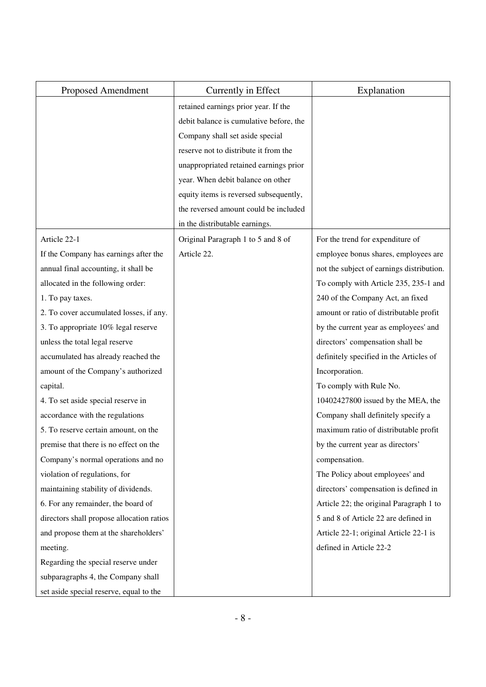| Proposed Amendment                        | Currently in Effect                     | Explanation                               |
|-------------------------------------------|-----------------------------------------|-------------------------------------------|
|                                           | retained earnings prior year. If the    |                                           |
|                                           | debit balance is cumulative before, the |                                           |
|                                           | Company shall set aside special         |                                           |
|                                           | reserve not to distribute it from the   |                                           |
|                                           | unappropriated retained earnings prior  |                                           |
|                                           | year. When debit balance on other       |                                           |
|                                           | equity items is reversed subsequently,  |                                           |
|                                           | the reversed amount could be included   |                                           |
|                                           | in the distributable earnings.          |                                           |
| Article 22-1                              | Original Paragraph 1 to 5 and 8 of      | For the trend for expenditure of          |
| If the Company has earnings after the     | Article 22.                             | employee bonus shares, employees are      |
| annual final accounting, it shall be      |                                         | not the subject of earnings distribution. |
| allocated in the following order:         |                                         | To comply with Article 235, 235-1 and     |
| 1. To pay taxes.                          |                                         | 240 of the Company Act, an fixed          |
| 2. To cover accumulated losses, if any.   |                                         | amount or ratio of distributable profit   |
| 3. To appropriate 10% legal reserve       |                                         | by the current year as employees' and     |
| unless the total legal reserve            |                                         | directors' compensation shall be          |
| accumulated has already reached the       |                                         | definitely specified in the Articles of   |
| amount of the Company's authorized        |                                         | Incorporation.                            |
| capital.                                  |                                         | To comply with Rule No.                   |
| 4. To set aside special reserve in        |                                         | 10402427800 issued by the MEA, the        |
| accordance with the regulations           |                                         | Company shall definitely specify a        |
| 5. To reserve certain amount, on the      |                                         | maximum ratio of distributable profit     |
| premise that there is no effect on the    |                                         | by the current year as directors'         |
| Company's normal operations and no        |                                         | compensation.                             |
| violation of regulations, for             |                                         | The Policy about employees' and           |
| maintaining stability of dividends.       |                                         | directors' compensation is defined in     |
| 6. For any remainder, the board of        |                                         | Article 22; the original Paragraph 1 to   |
| directors shall propose allocation ratios |                                         | 5 and 8 of Article 22 are defined in      |
| and propose them at the shareholders'     |                                         | Article 22-1; original Article 22-1 is    |
| meeting.                                  |                                         | defined in Article 22-2                   |
| Regarding the special reserve under       |                                         |                                           |
| subparagraphs 4, the Company shall        |                                         |                                           |
| set aside special reserve, equal to the   |                                         |                                           |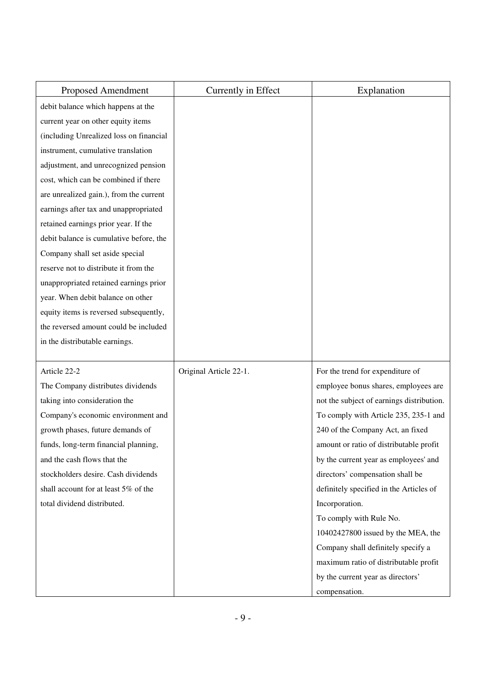| Proposed Amendment                      | Currently in Effect    | Explanation                               |
|-----------------------------------------|------------------------|-------------------------------------------|
| debit balance which happens at the      |                        |                                           |
| current year on other equity items      |                        |                                           |
| (including Unrealized loss on financial |                        |                                           |
| instrument, cumulative translation      |                        |                                           |
| adjustment, and unrecognized pension    |                        |                                           |
| cost, which can be combined if there    |                        |                                           |
| are unrealized gain.), from the current |                        |                                           |
| earnings after tax and unappropriated   |                        |                                           |
| retained earnings prior year. If the    |                        |                                           |
| debit balance is cumulative before, the |                        |                                           |
| Company shall set aside special         |                        |                                           |
| reserve not to distribute it from the   |                        |                                           |
| unappropriated retained earnings prior  |                        |                                           |
| year. When debit balance on other       |                        |                                           |
| equity items is reversed subsequently,  |                        |                                           |
| the reversed amount could be included   |                        |                                           |
| in the distributable earnings.          |                        |                                           |
|                                         |                        |                                           |
| Article 22-2                            | Original Article 22-1. | For the trend for expenditure of          |
| The Company distributes dividends       |                        | employee bonus shares, employees are      |
| taking into consideration the           |                        | not the subject of earnings distribution. |
| Company's economic environment and      |                        | To comply with Article 235, 235-1 and     |
| growth phases, future demands of        |                        | 240 of the Company Act, an fixed          |
| funds, long-term financial planning,    |                        | amount or ratio of distributable profit   |
| and the cash flows that the             |                        | by the current year as employees' and     |
| stockholders desire. Cash dividends     |                        | directors' compensation shall be          |
| shall account for at least 5% of the    |                        | definitely specified in the Articles of   |
| total dividend distributed.             |                        | Incorporation.                            |
|                                         |                        | To comply with Rule No.                   |
|                                         |                        | 10402427800 issued by the MEA, the        |
|                                         |                        | Company shall definitely specify a        |
|                                         |                        | maximum ratio of distributable profit     |
|                                         |                        | by the current year as directors'         |
|                                         |                        | compensation.                             |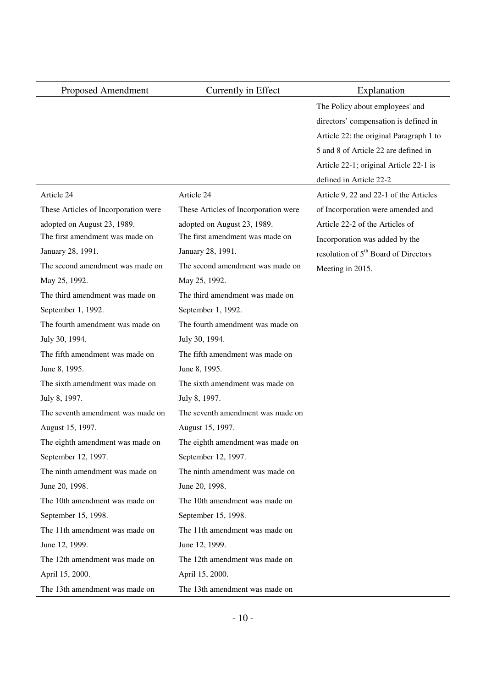| Proposed Amendment                   | Currently in Effect                  | Explanation                                      |
|--------------------------------------|--------------------------------------|--------------------------------------------------|
|                                      |                                      | The Policy about employees' and                  |
|                                      |                                      | directors' compensation is defined in            |
|                                      |                                      | Article 22; the original Paragraph 1 to          |
|                                      |                                      | 5 and 8 of Article 22 are defined in             |
|                                      |                                      | Article 22-1; original Article 22-1 is           |
|                                      |                                      | defined in Article 22-2                          |
| Article 24                           | Article 24                           | Article 9, 22 and 22-1 of the Articles           |
| These Articles of Incorporation were | These Articles of Incorporation were | of Incorporation were amended and                |
| adopted on August 23, 1989.          | adopted on August 23, 1989.          | Article 22-2 of the Articles of                  |
| The first amendment was made on      | The first amendment was made on      | Incorporation was added by the                   |
| January 28, 1991.                    | January 28, 1991.                    | resolution of 5 <sup>th</sup> Board of Directors |
| The second amendment was made on     | The second amendment was made on     | Meeting in 2015.                                 |
| May 25, 1992.                        | May 25, 1992.                        |                                                  |
| The third amendment was made on      | The third amendment was made on      |                                                  |
| September 1, 1992.                   | September 1, 1992.                   |                                                  |
| The fourth amendment was made on     | The fourth amendment was made on     |                                                  |
| July 30, 1994.                       | July 30, 1994.                       |                                                  |
| The fifth amendment was made on      | The fifth amendment was made on      |                                                  |
| June 8, 1995.                        | June 8, 1995.                        |                                                  |
| The sixth amendment was made on      | The sixth amendment was made on      |                                                  |
| July 8, 1997.                        | July 8, 1997.                        |                                                  |
| The seventh amendment was made on    | The seventh amendment was made on    |                                                  |
| August 15, 1997.                     | August 15, 1997.                     |                                                  |
| The eighth amendment was made on     | The eighth amendment was made on     |                                                  |
| September 12, 1997.                  | September 12, 1997.                  |                                                  |
| The ninth amendment was made on      | The ninth amendment was made on      |                                                  |
| June 20, 1998.                       | June 20, 1998.                       |                                                  |
| The 10th amendment was made on       | The 10th amendment was made on       |                                                  |
| September 15, 1998.                  | September 15, 1998.                  |                                                  |
| The 11th amendment was made on       | The 11th amendment was made on       |                                                  |
| June 12, 1999.                       | June 12, 1999.                       |                                                  |
| The 12th amendment was made on       | The 12th amendment was made on       |                                                  |
| April 15, 2000.                      | April 15, 2000.                      |                                                  |
| The 13th amendment was made on       | The 13th amendment was made on       |                                                  |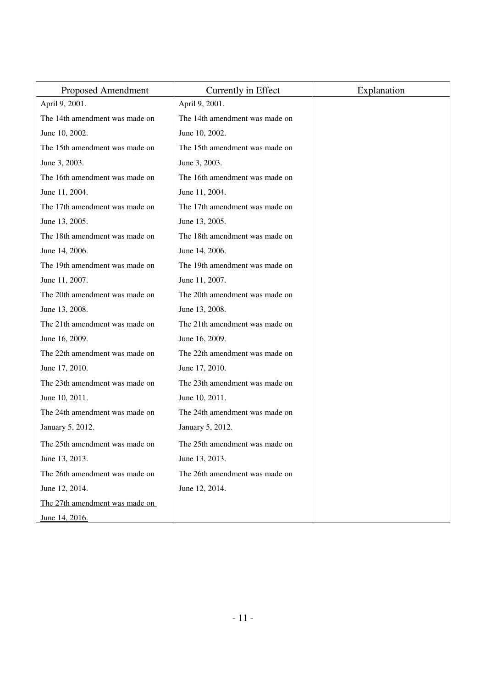| Proposed Amendment             | Currently in Effect            | Explanation |
|--------------------------------|--------------------------------|-------------|
| April 9, 2001.                 | April 9, 2001.                 |             |
| The 14th amendment was made on | The 14th amendment was made on |             |
| June 10, 2002.                 | June 10, 2002.                 |             |
| The 15th amendment was made on | The 15th amendment was made on |             |
| June 3, 2003.                  | June 3, 2003.                  |             |
| The 16th amendment was made on | The 16th amendment was made on |             |
| June 11, 2004.                 | June 11, 2004.                 |             |
| The 17th amendment was made on | The 17th amendment was made on |             |
| June 13, 2005.                 | June 13, 2005.                 |             |
| The 18th amendment was made on | The 18th amendment was made on |             |
| June 14, 2006.                 | June 14, 2006.                 |             |
| The 19th amendment was made on | The 19th amendment was made on |             |
| June 11, 2007.                 | June 11, 2007.                 |             |
| The 20th amendment was made on | The 20th amendment was made on |             |
| June 13, 2008.                 | June 13, 2008.                 |             |
| The 21th amendment was made on | The 21th amendment was made on |             |
| June 16, 2009.                 | June 16, 2009.                 |             |
| The 22th amendment was made on | The 22th amendment was made on |             |
| June 17, 2010.                 | June 17, 2010.                 |             |
| The 23th amendment was made on | The 23th amendment was made on |             |
| June 10, 2011.                 | June 10, 2011.                 |             |
| The 24th amendment was made on | The 24th amendment was made on |             |
| January 5, 2012.               | January 5, 2012.               |             |
| The 25th amendment was made on | The 25th amendment was made on |             |
| June 13, 2013.                 | June 13, 2013.                 |             |
| The 26th amendment was made on | The 26th amendment was made on |             |
| June 12, 2014.                 | June 12, 2014.                 |             |
| The 27th amendment was made on |                                |             |
| June 14, 2016.                 |                                |             |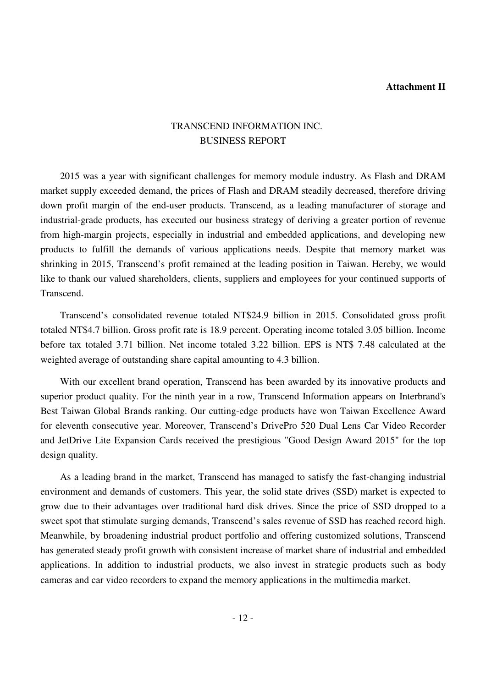#### **Attachment II**

# TRANSCEND INFORMATION INC. BUSINESS REPORT

2015 was a year with significant challenges for memory module industry. As Flash and DRAM market supply exceeded demand, the prices of Flash and DRAM steadily decreased, therefore driving down profit margin of the end-user products. Transcend, as a leading manufacturer of storage and industrial-grade products, has executed our business strategy of deriving a greater portion of revenue from high-margin projects, especially in industrial and embedded applications, and developing new products to fulfill the demands of various applications needs. Despite that memory market was shrinking in 2015, Transcend's profit remained at the leading position in Taiwan. Hereby, we would like to thank our valued shareholders, clients, suppliers and employees for your continued supports of Transcend.

Transcend's consolidated revenue totaled NT\$24.9 billion in 2015. Consolidated gross profit totaled NT\$4.7 billion. Gross profit rate is 18.9 percent. Operating income totaled 3.05 billion. Income before tax totaled 3.71 billion. Net income totaled 3.22 billion. EPS is NT\$ 7.48 calculated at the weighted average of outstanding share capital amounting to 4.3 billion.

With our excellent brand operation, Transcend has been awarded by its innovative products and superior product quality. For the ninth year in a row, Transcend Information appears on Interbrand's Best Taiwan Global Brands ranking. Our cutting-edge products have won Taiwan Excellence Award for eleventh consecutive year. Moreover, Transcend's DrivePro 520 Dual Lens Car Video Recorder and JetDrive Lite Expansion Cards received the prestigious "Good Design Award 2015" for the top design quality.

As a leading brand in the market, Transcend has managed to satisfy the fast-changing industrial environment and demands of customers. This year, the solid state drives (SSD) market is expected to grow due to their advantages over traditional hard disk drives. Since the price of SSD dropped to a sweet spot that stimulate surging demands, Transcend's sales revenue of SSD has reached record high. Meanwhile, by broadening industrial product portfolio and offering customized solutions, Transcend has generated steady profit growth with consistent increase of market share of industrial and embedded applications. In addition to industrial products, we also invest in strategic products such as body cameras and car video recorders to expand the memory applications in the multimedia market.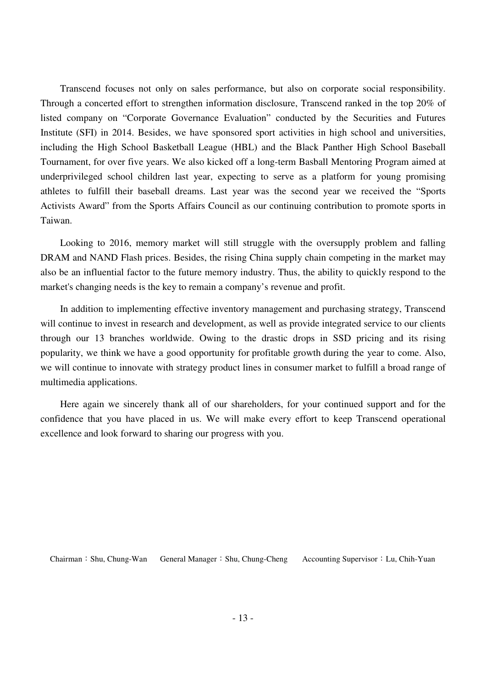Transcend focuses not only on sales performance, but also on corporate social responsibility. Through a concerted effort to strengthen information disclosure, Transcend ranked in the top 20% of listed company on "Corporate Governance Evaluation" conducted by the Securities and Futures Institute (SFI) in 2014. Besides, we have sponsored sport activities in high school and universities, including the High School Basketball League (HBL) and the Black Panther High School Baseball Tournament, for over five years. We also kicked off a long-term Basball Mentoring Program aimed at underprivileged school children last year, expecting to serve as a platform for young promising athletes to fulfill their baseball dreams. Last year was the second year we received the "Sports Activists Award" from the Sports Affairs Council as our continuing contribution to promote sports in Taiwan.

Looking to 2016, memory market will still struggle with the oversupply problem and falling DRAM and NAND Flash prices. Besides, the rising China supply chain competing in the market may also be an influential factor to the future memory industry. Thus, the ability to quickly respond to the market's changing needs is the key to remain a company's revenue and profit.

In addition to implementing effective inventory management and purchasing strategy, Transcend will continue to invest in research and development, as well as provide integrated service to our clients through our 13 branches worldwide. Owing to the drastic drops in SSD pricing and its rising popularity, we think we have a good opportunity for profitable growth during the year to come. Also, we will continue to innovate with strategy product lines in consumer market to fulfill a broad range of multimedia applications.

Here again we sincerely thank all of our shareholders, for your continued support and for the confidence that you have placed in us. We will make every effort to keep Transcend operational excellence and look forward to sharing our progress with you.

Chairman:Shu, Chung-Wan General Manager:Shu, Chung-Cheng Accounting Supervisor:Lu, Chih-Yuan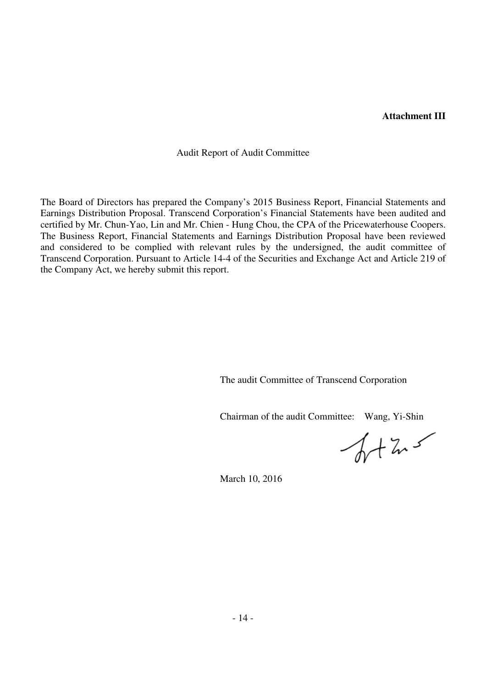#### **Attachment III**

Audit Report of Audit Committee

The Board of Directors has prepared the Company's 2015 Business Report, Financial Statements and Earnings Distribution Proposal. Transcend Corporation's Financial Statements have been audited and certified by Mr. Chun-Yao, Lin and Mr. Chien - Hung Chou, the CPA of the Pricewaterhouse Coopers. The Business Report, Financial Statements and Earnings Distribution Proposal have been reviewed and considered to be complied with relevant rules by the undersigned, the audit committee of Transcend Corporation. Pursuant to Article 14-4 of the Securities and Exchange Act and Article 219 of the Company Act, we hereby submit this report.

The audit Committee of Transcend Corporation

Chairman of the audit Committee: Wang, Yi-Shin

 $47.5$ 

March 10, 2016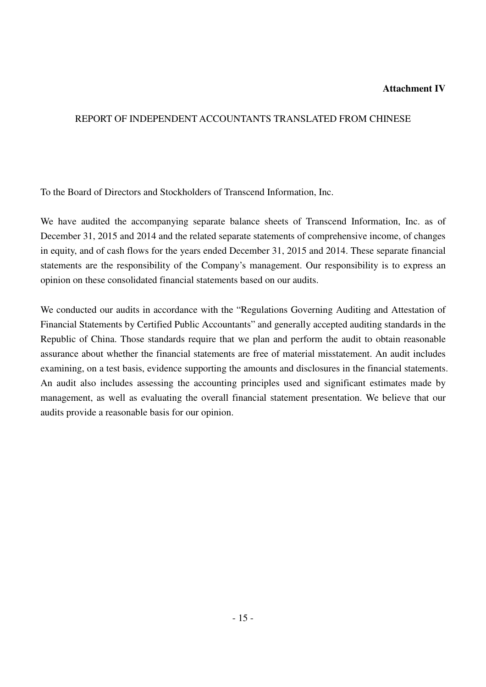#### **Attachment IV**

#### REPORT OF INDEPENDENT ACCOUNTANTS TRANSLATED FROM CHINESE

To the Board of Directors and Stockholders of Transcend Information, Inc.

We have audited the accompanying separate balance sheets of Transcend Information, Inc. as of December 31, 2015 and 2014 and the related separate statements of comprehensive income, of changes in equity, and of cash flows for the years ended December 31, 2015 and 2014. These separate financial statements are the responsibility of the Company's management. Our responsibility is to express an opinion on these consolidated financial statements based on our audits.

We conducted our audits in accordance with the "Regulations Governing Auditing and Attestation of Financial Statements by Certified Public Accountants" and generally accepted auditing standards in the Republic of China. Those standards require that we plan and perform the audit to obtain reasonable assurance about whether the financial statements are free of material misstatement. An audit includes examining, on a test basis, evidence supporting the amounts and disclosures in the financial statements. An audit also includes assessing the accounting principles used and significant estimates made by management, as well as evaluating the overall financial statement presentation. We believe that our audits provide a reasonable basis for our opinion.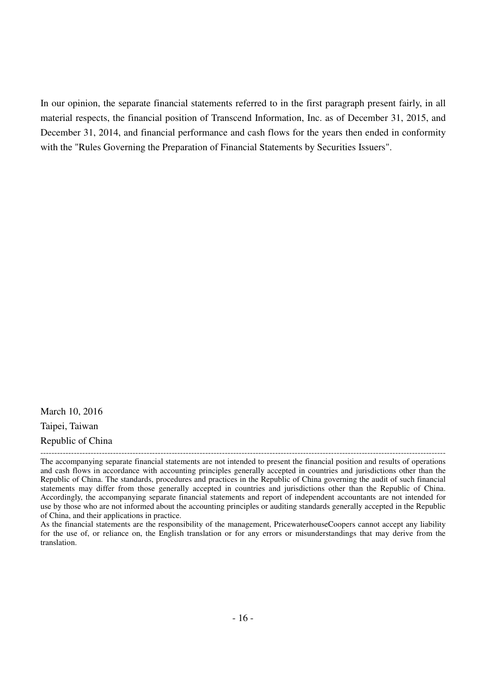In our opinion, the separate financial statements referred to in the first paragraph present fairly, in all material respects, the financial position of Transcend Information, Inc. as of December 31, 2015, and December 31, 2014, and financial performance and cash flows for the years then ended in conformity with the "Rules Governing the Preparation of Financial Statements by Securities Issuers".

March 10, 2016 Taipei, Taiwan Republic of China

<sup>-------------------------------------------------------------------------------------------------------------------------------------------------</sup> The accompanying separate financial statements are not intended to present the financial position and results of operations and cash flows in accordance with accounting principles generally accepted in countries and jurisdictions other than the Republic of China. The standards, procedures and practices in the Republic of China governing the audit of such financial statements may differ from those generally accepted in countries and jurisdictions other than the Republic of China. Accordingly, the accompanying separate financial statements and report of independent accountants are not intended for use by those who are not informed about the accounting principles or auditing standards generally accepted in the Republic of China, and their applications in practice.

As the financial statements are the responsibility of the management, PricewaterhouseCoopers cannot accept any liability for the use of, or reliance on, the English translation or for any errors or misunderstandings that may derive from the translation.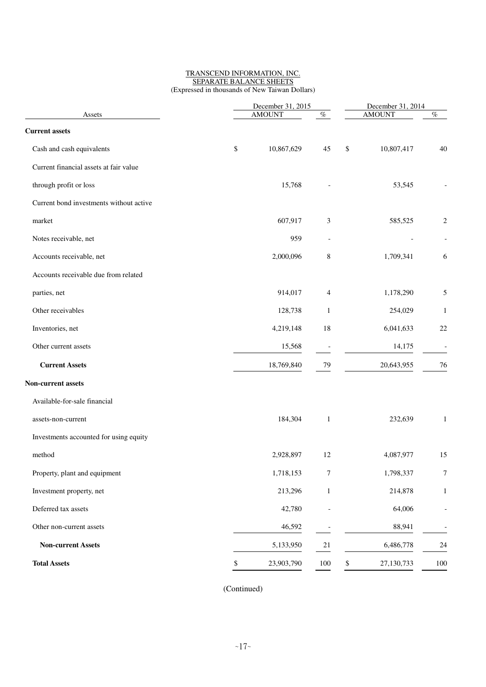#### TRANSCEND INFORMATION, INC. SEPARATE BALANCE SHEETS (Expressed in thousands of New Taiwan Dollars)

|                                         | December 31, 2015 | December 31, 2014<br><b>AMOUNT</b> |                  |                          |
|-----------------------------------------|-------------------|------------------------------------|------------------|--------------------------|
| Assets                                  | <b>AMOUNT</b>     | $\%$                               |                  | $\%$                     |
| <b>Current assets</b>                   |                   |                                    |                  |                          |
| Cash and cash equivalents               | \$<br>10,867,629  | 45                                 | \$<br>10,807,417 | 40                       |
| Current financial assets at fair value  |                   |                                    |                  |                          |
| through profit or loss                  | 15,768            |                                    | 53,545           |                          |
| Current bond investments without active |                   |                                    |                  |                          |
| market                                  | 607,917           | 3                                  | 585,525          | $\overline{c}$           |
| Notes receivable, net                   | 959               |                                    |                  |                          |
| Accounts receivable, net                | 2,000,096         | $\,8$                              | 1,709,341        | 6                        |
| Accounts receivable due from related    |                   |                                    |                  |                          |
| parties, net                            | 914,017           | 4                                  | 1,178,290        | 5                        |
| Other receivables                       | 128,738           | 1                                  | 254,029          | 1                        |
| Inventories, net                        | 4,219,148         | 18                                 | 6,041,633        | 22                       |
| Other current assets                    | 15,568            |                                    | 14,175           | $\overline{\phantom{a}}$ |
| <b>Current Assets</b>                   | 18,769,840        | 79                                 | 20,643,955       | 76                       |
| Non-current assets                      |                   |                                    |                  |                          |
| Available-for-sale financial            |                   |                                    |                  |                          |
| assets-non-current                      | 184,304           | $\mathbf{1}$                       | 232,639          | $\mathbf{1}$             |
| Investments accounted for using equity  |                   |                                    |                  |                          |
| method                                  | 2,928,897         | 12                                 | 4,087,977        | 15                       |
| Property, plant and equipment           | 1,718,153         | $\boldsymbol{7}$                   | 1,798,337        | $\boldsymbol{7}$         |
| Investment property, net                | 213,296           | $\mathbf{1}$                       | 214,878          | $\mathbf{1}$             |
| Deferred tax assets                     | 42,780            |                                    | 64,006           |                          |
| Other non-current assets                | 46,592            | $\overline{\phantom{a}}$           | 88,941           |                          |
| <b>Non-current Assets</b>               | 5,133,950         | $21\,$                             | 6,486,778        | 24                       |
| <b>Total Assets</b>                     | \$<br>23,903,790  | 100                                | \$<br>27,130,733 | $100\,$                  |
|                                         |                   |                                    |                  |                          |

(Continued)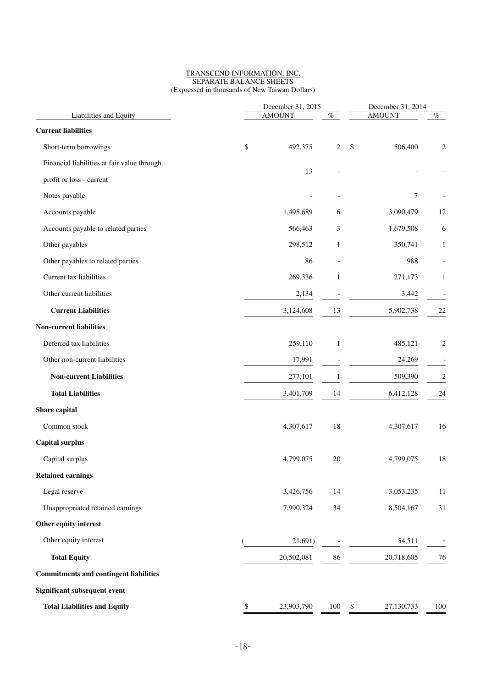#### TRANSCEND INFORMATION, INC. SEPARATE BALANCE SHEETS (Expressed in thousands of New Taiwan Dollars)

| Liabilities and Equity<br><b>Current liabilities</b> |    | December 31, 2015<br><b>AMOUNT</b> | December 31, 2014<br><b>AMOUNT</b><br>$\%$ |                                       |                |
|------------------------------------------------------|----|------------------------------------|--------------------------------------------|---------------------------------------|----------------|
|                                                      |    |                                    | $\%$                                       |                                       |                |
| Short-term borrowings                                | \$ | 492,375                            | 2                                          | \$<br>506,400                         | $\overline{c}$ |
| Financial liabilities at fair value through          |    |                                    |                                            |                                       |                |
| profit or loss - current                             |    | 13                                 |                                            |                                       |                |
| Notes payable                                        |    |                                    |                                            | 7                                     |                |
| Accounts payable                                     |    | 1,495,689                          | 6                                          | 3,090,479                             | 12             |
|                                                      |    |                                    |                                            |                                       |                |
| Accounts payable to related parties                  |    | 566,463                            | 3                                          | 1,679,508                             | 6              |
| Other payables                                       |    | 298,512                            | $\mathbf{1}$                               | 350,741                               | 1              |
| Other payables to related parties                    |    | 86                                 |                                            | 988                                   |                |
| Current tax liabilities                              |    | 269,336                            | $\mathbf{1}$                               | 271,173                               | 1              |
| Other current liabilities                            |    | 2,134                              |                                            | 3,442                                 |                |
| <b>Current Liabilities</b>                           |    | 3,124,608                          | 13                                         | 5,902,738                             | 22             |
| <b>Non-current liabilities</b>                       |    |                                    |                                            |                                       |                |
| Deferred tax liabilities                             |    | 259,110                            | $\mathbf{1}$                               | 485,121                               | $\overline{c}$ |
| Other non-current liabilities                        |    | 17,991                             |                                            | 24,269                                |                |
| <b>Non-current Liabilities</b>                       |    | 277,101                            | $\mathbf{1}$                               | 509,390                               | $\overline{c}$ |
| <b>Total Liabilities</b>                             |    | 3,401,709                          | 14                                         | 6,412,128                             | 24             |
| Share capital                                        |    |                                    |                                            |                                       |                |
| Common stock                                         |    | 4,307,617                          | 18                                         | 4,307,617                             | 16             |
| <b>Capital surplus</b>                               |    |                                    |                                            |                                       |                |
| Capital surplus                                      |    | 4,799,075                          | 20                                         | 4,799,075                             | 18             |
| <b>Retained earnings</b>                             |    |                                    |                                            |                                       |                |
| Legal reserve                                        |    | 3,426,756                          | 14                                         | 3,053,235                             | 11             |
| Unappropriated retained earnings                     |    | 7,990,324                          | 34                                         | 8,504,167                             | 31             |
| Other equity interest                                |    |                                    |                                            |                                       |                |
| Other equity interest                                |    | 21,691)                            |                                            | 54,511                                |                |
| <b>Total Equity</b>                                  |    | 20,502,081                         | 86                                         | 20,718,605                            | 76             |
| <b>Commitments and contingent liabilities</b>        |    |                                    |                                            |                                       |                |
| <b>Significant subsequent event</b>                  |    |                                    |                                            |                                       |                |
| <b>Total Liabilities and Equity</b>                  | \$ | 23,903,790                         | 100                                        | $\sqrt[6]{\frac{1}{2}}$<br>27,130,733 | 100            |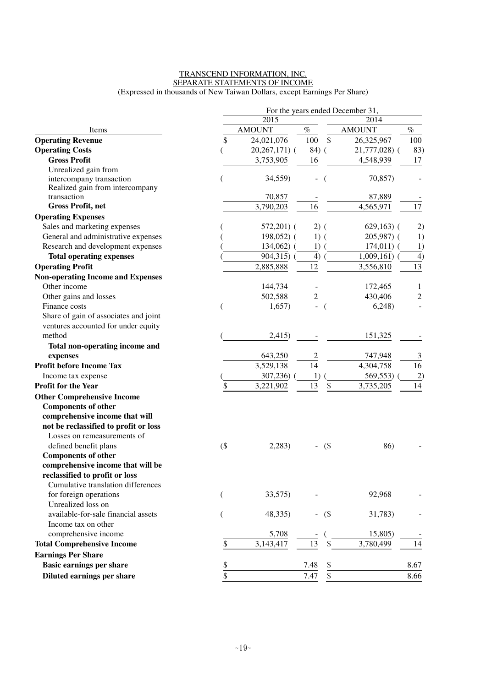#### TRANSCEND INFORMATION, INC. SEPARATE STATEMENTS OF INCOME (Expressed in thousands of New Taiwan Dollars, except Earnings Per Share)

|                                          | For the years ended December 31, |               |                              |                |                       |  |  |
|------------------------------------------|----------------------------------|---------------|------------------------------|----------------|-----------------------|--|--|
|                                          |                                  | 2015          |                              | 2014           |                       |  |  |
| Items                                    |                                  | <b>AMOUNT</b> | $\%$                         | <b>AMOUNT</b>  | $\%$                  |  |  |
| <b>Operating Revenue</b>                 | \$                               | 24,021,076    | \$<br>100                    | 26,325,967     | 100                   |  |  |
| <b>Operating Costs</b>                   |                                  | 20, 267, 171) | 84)                          | 21,777,028)    | 83)                   |  |  |
| <b>Gross Profit</b>                      |                                  | 3,753,905     | 16                           | 4,548,939      | 17                    |  |  |
| Unrealized gain from                     |                                  |               |                              |                |                       |  |  |
| intercompany transaction                 |                                  | 34,559)       | $\qquad \qquad \blacksquare$ | 70,857)        |                       |  |  |
| Realized gain from intercompany          |                                  |               |                              |                |                       |  |  |
| transaction                              |                                  | 70,857        |                              | 87,889         |                       |  |  |
| <b>Gross Profit, net</b>                 |                                  | 3,790,203     | 16                           | 4,565,971      | 17                    |  |  |
| <b>Operating Expenses</b>                |                                  |               |                              |                |                       |  |  |
| Sales and marketing expenses             |                                  | $572,201$ (   | $2)$ (                       | $629,163$ (    | 2)                    |  |  |
| General and administrative expenses      |                                  | $198,052$ (   | $1)$ (                       | $205,987$ (    | 1)                    |  |  |
| Research and development expenses        |                                  | 134,062)      | 1)                           | $174,011)$ (   | 1)                    |  |  |
| <b>Total operating expenses</b>          |                                  | 904,315) (    | 4)                           | $1,009,161)$ ( | 4)                    |  |  |
| <b>Operating Profit</b>                  |                                  | 2,885,888     | 12                           | 3,556,810      | 13                    |  |  |
| <b>Non-operating Income and Expenses</b> |                                  |               |                              |                |                       |  |  |
| Other income                             |                                  | 144,734       |                              | 172,465        | 1                     |  |  |
| Other gains and losses                   |                                  | 502,588       | $\overline{c}$               | 430,406        | $\mathfrak{2}$        |  |  |
| Finance costs                            |                                  | 1,657)        |                              | 6,248          |                       |  |  |
| Share of gain of associates and joint    |                                  |               |                              |                |                       |  |  |
| ventures accounted for under equity      |                                  |               |                              |                |                       |  |  |
| method                                   |                                  | 2,415)        |                              | 151,325        |                       |  |  |
| Total non-operating income and           |                                  |               |                              |                |                       |  |  |
| expenses                                 |                                  | 643,250       | $\overline{c}$               | 747,948        | 3                     |  |  |
| <b>Profit before Income Tax</b>          |                                  | 3,529,138     | 14                           | 4,304,758      | $\overline{16}$       |  |  |
| Income tax expense                       |                                  | 307,236)      | 1)                           | 569,553)       | $\mathbf{2}^{\prime}$ |  |  |
| <b>Profit for the Year</b>               | \$                               | 3,221,902     | 13<br>\$                     | 3,735,205      | 14                    |  |  |
| <b>Other Comprehensive Income</b>        |                                  |               |                              |                |                       |  |  |
| <b>Components of other</b>               |                                  |               |                              |                |                       |  |  |
| comprehensive income that will           |                                  |               |                              |                |                       |  |  |
| not be reclassified to profit or loss    |                                  |               |                              |                |                       |  |  |
| Losses on remeasurements of              |                                  |               |                              |                |                       |  |  |
| defined benefit plans                    | $($ \$                           | 2,283)        | $-$ (\$)                     | 86)            |                       |  |  |
| <b>Components of other</b>               |                                  |               |                              |                |                       |  |  |
| comprehensive income that will be        |                                  |               |                              |                |                       |  |  |
| reclassified to profit or loss           |                                  |               |                              |                |                       |  |  |
| Cumulative translation differences       |                                  |               |                              |                |                       |  |  |
| for foreign operations                   | €                                | 33,575)       |                              | 92,968         |                       |  |  |
| Unrealized loss on                       |                                  |               |                              |                |                       |  |  |
| available-for-sale financial assets      | €                                | 48,335)       | $-$ (\$)                     | 31,783)        |                       |  |  |
| Income tax on other                      |                                  |               |                              |                |                       |  |  |
| comprehensive income                     |                                  | 5,708         |                              | 15,805)        |                       |  |  |
| <b>Total Comprehensive Income</b>        | \$                               | 3,143,417     | 13                           | 3,780,499      | 14                    |  |  |
| <b>Earnings Per Share</b>                |                                  |               |                              |                |                       |  |  |
| <b>Basic earnings per share</b>          | \$                               |               | 7.48<br>$\frac{1}{2}$        |                | 8.67                  |  |  |
| Diluted earnings per share               | \$                               |               | \$<br>7.47                   |                | 8.66                  |  |  |
|                                          |                                  |               |                              |                |                       |  |  |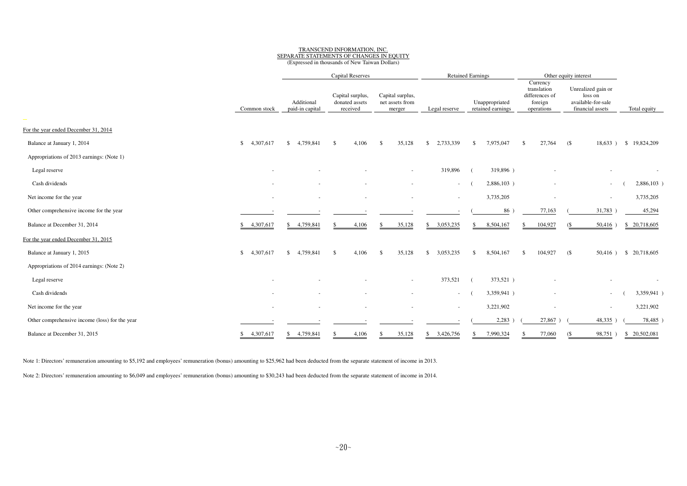# TRANSCEND INFORMATION, INC. SEPARATE STATEMENTS OF CHANGES IN EQUITY

| (Expressed in thousands of New Taiwan Dollars) |  |
|------------------------------------------------|--|
|------------------------------------------------|--|

|                                                |                 | <b>Capital Reserves</b><br><b>Retained Earnings</b> |                                                |                                               | Other equity interest     |                                     |                                                                    |                                                                         |                          |
|------------------------------------------------|-----------------|-----------------------------------------------------|------------------------------------------------|-----------------------------------------------|---------------------------|-------------------------------------|--------------------------------------------------------------------|-------------------------------------------------------------------------|--------------------------|
|                                                | Common stock    | Additional<br>paid-in capital                       | Capital surplus,<br>donated assets<br>received | Capital surplus,<br>net assets from<br>merger | Legal reserve             | Unappropriated<br>retained earnings | Currency<br>translation<br>differences of<br>foreign<br>operations | Unrealized gain or<br>loss on<br>available-for-sale<br>financial assets | Total equity             |
| $\sim$                                         |                 |                                                     |                                                |                                               |                           |                                     |                                                                    |                                                                         |                          |
| For the year ended December 31, 2014           |                 |                                                     |                                                |                                               |                           |                                     |                                                                    |                                                                         |                          |
| Balance at January 1, 2014                     | \$<br>4,307,617 | 4,759,841<br>$\mathbf{s}$                           | 4,106<br>\$                                    | 35,128<br>-S                                  | 2,733,339<br>\$           | 7,975,047<br>\$                     | 27,764<br>\$                                                       | (S<br>18,633)                                                           | \$19,824,209             |
| Appropriations of 2013 earnings: (Note 1)      |                 |                                                     |                                                |                                               |                           |                                     |                                                                    |                                                                         |                          |
| Legal reserve                                  |                 |                                                     |                                                |                                               | 319,896                   | 319,896)                            |                                                                    |                                                                         | $\overline{\phantom{a}}$ |
| Cash dividends                                 |                 |                                                     |                                                |                                               | $\sim$                    | 2,886,103)                          | ٠                                                                  | $\overline{\phantom{a}}$                                                | 2,886,103)               |
| Net income for the year                        |                 | $\sim$                                              | $\sim$                                         |                                               | $\overline{\phantom{a}}$  | 3,735,205                           | ٠                                                                  | $\overline{\phantom{a}}$                                                | 3,735,205                |
| Other comprehensive income for the year        |                 |                                                     |                                                |                                               |                           | 86                                  | 77,163                                                             | 31,783                                                                  | 45,294                   |
| Balance at December 31, 2014                   | 4,307,617<br>\$ | 4,759,841<br>\$.                                    | 4,106                                          | 35,128<br>-S                                  | 3,053,235<br>\$           | 8,504,167<br>\$                     | 104,927                                                            | 50,416<br>$($ \$                                                        | \$ 20,718,605            |
| For the year ended December 31, 2015           |                 |                                                     |                                                |                                               |                           |                                     |                                                                    |                                                                         |                          |
| Balance at January 1, 2015                     | 4,307,617<br>\$ | \$4,759,841                                         | 4.106<br><sup>\$</sup>                         | 35,128<br>-\$                                 | 3,053,235<br>$\mathbb{S}$ | 8,504,167<br>\$                     | 104,927<br>\$                                                      | (S<br>$50,416$ )                                                        | \$ 20,718,605            |
| Appropriations of 2014 earnings: (Note 2)      |                 |                                                     |                                                |                                               |                           |                                     |                                                                    |                                                                         |                          |
| Legal reserve                                  |                 |                                                     |                                                | $\sim$                                        | 373,521                   | 373,521)                            |                                                                    |                                                                         | $\sim$                   |
| Cash dividends                                 |                 |                                                     |                                                |                                               | $\sim$                    | 3,359,941)                          |                                                                    | $\overline{\phantom{a}}$                                                | 3,359,941)               |
| Net income for the year                        |                 | ٠                                                   |                                                |                                               | $\sim$                    | 3,221,902                           |                                                                    | $\overline{\phantom{a}}$                                                | 3,221,902                |
| Other comprehensive income (loss) for the year |                 |                                                     |                                                |                                               |                           | 2,283                               | 27,867                                                             | 48,335                                                                  | 78,485                   |
| Balance at December 31, 2015                   | 4,307,617<br>\$ | \$4,759,841                                         | 4,106<br>S                                     | 35,128<br>-S                                  | \$3,426,756               | 7,990,324<br>S.                     | 77,060                                                             | 98,751<br>$($ \$                                                        | \$ 20,502,081            |

Note 1: Directors' remuneration amounting to \$5,192 and employees' remuneration (bonus) amounting to \$25,962 had been deducted from the separate statement of income in 2013.

Note 2: Directors' remuneration amounting to \$6,049 and employees' remuneration (bonus) amounting to \$30,243 had been deducted from the separate statement of income in 2014.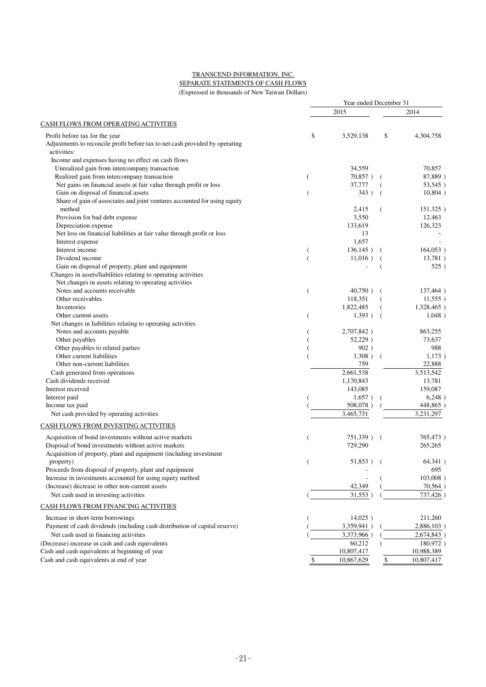#### TRANSCEND INFORMATION, INC. SEPARATE STATEMENTS OF CASH FLOWS

(Expressed in thousands of New Taiwan Dollars)

|                                                                                     |    | Year ended December 31 |                |               |  |  |  |  |
|-------------------------------------------------------------------------------------|----|------------------------|----------------|---------------|--|--|--|--|
|                                                                                     |    | 2015                   |                | 2014          |  |  |  |  |
| <b>CASH FLOWS FROM OPERATING ACTIVITIES</b>                                         |    |                        |                |               |  |  |  |  |
| Profit before tax for the year                                                      | \$ | 3,529,138              | \$             | 4,304,758     |  |  |  |  |
| Adjustments to reconcile profit before tax to net cash provided by operating        |    |                        |                |               |  |  |  |  |
| activities:                                                                         |    |                        |                |               |  |  |  |  |
| Income and expenses having no effect on cash flows                                  |    |                        |                |               |  |  |  |  |
| Unrealized gain from intercompany transaction                                       |    | 34,559                 |                | 70,857        |  |  |  |  |
| Realized gain from intercompany transaction                                         | (  | 70,857)                |                | 87,889)       |  |  |  |  |
| Net gains on financial assets at fair value through profit or loss                  |    | 37,777                 |                | 53,545)       |  |  |  |  |
| Gain on disposal of financial assets                                                | (  | 343)                   |                | 10,804)       |  |  |  |  |
| Share of gain of associates and joint ventures accounted for using equity<br>method |    | 2,415                  |                | 151,325)      |  |  |  |  |
| Provision for bad debt expense                                                      |    | 3,550                  |                | 12,463        |  |  |  |  |
| Depreciation expense                                                                |    | 133,619                |                | 126,323       |  |  |  |  |
| Net loss on financial liabilities at fair value through profit or loss              |    | 13                     |                |               |  |  |  |  |
| Interest expense                                                                    |    | 1,657                  |                |               |  |  |  |  |
| Interest income                                                                     |    | 136, 145)              |                | 164,053)      |  |  |  |  |
| Dividend income                                                                     |    | $11,016$ )             |                | 13,781)       |  |  |  |  |
| Gain on disposal of property, plant and equipment                                   |    |                        |                | 525)          |  |  |  |  |
| Changes in assets/liabilities relating to operating activities                      |    |                        |                |               |  |  |  |  |
| Net changes in assets relating to operating activities                              |    |                        |                |               |  |  |  |  |
| Notes and accounts receivable                                                       | (  | 40,750)                |                | 137,464)      |  |  |  |  |
| Other receivables                                                                   |    | 118,351                |                | $11,555$ )    |  |  |  |  |
| Inventories                                                                         |    | 1,822,485              |                | 1,328,465)    |  |  |  |  |
| Other current assets                                                                | (  | 1,393)                 |                | 1,048)        |  |  |  |  |
| Net changes in liabilities relating to operating activities                         |    |                        |                |               |  |  |  |  |
| Notes and accounts payable                                                          |    | 2,707,842)             |                | 863,255       |  |  |  |  |
| Other payables                                                                      |    | 52,229)                |                | 73,637        |  |  |  |  |
| Other payables to related parties                                                   |    | 902)                   |                | 988           |  |  |  |  |
| Other current liabilities                                                           |    | 1,308)                 |                | 1,173)        |  |  |  |  |
| Other non-current liabilities                                                       |    | 759                    |                | 22,888        |  |  |  |  |
| Cash generated from operations                                                      |    | 2,661,538              |                | 3,513,542     |  |  |  |  |
| Cash dividends received                                                             |    | 1,170,843              |                | 13,781        |  |  |  |  |
| Interest received                                                                   |    | 143,085                |                | 159,087       |  |  |  |  |
| Interest paid                                                                       |    | 1,657)                 |                | 6,248)        |  |  |  |  |
| Income tax paid                                                                     |    | 508,078)               |                | 448,865)      |  |  |  |  |
| Net cash provided by operating activities                                           |    | 3,465,731              |                | 3,231,297     |  |  |  |  |
| CASH FLOWS FROM INVESTING ACTIVITIES                                                |    |                        |                |               |  |  |  |  |
| Acquisition of bond investments without active markets                              |    | 751,339)               | $\overline{ }$ | 765,473)      |  |  |  |  |
| Disposal of bond investments without active markets                                 |    | 729,290                |                | 265,265       |  |  |  |  |
| Acquisition of property, plant and equipment (including investment                  |    |                        |                |               |  |  |  |  |
| property)                                                                           |    | $51,853$ ) (           |                | 64,341)       |  |  |  |  |
| Proceeds from disposal of property, plant and equipment                             |    |                        |                | 695           |  |  |  |  |
| Increase in investments accounted for using equity method                           |    |                        |                | $103,008$ )   |  |  |  |  |
| (Increase) decrease in other non-current assets                                     |    | 42,349                 |                | 70,564)       |  |  |  |  |
| Net cash used in investing activities                                               |    | 31,553)                |                | 737,426       |  |  |  |  |
| <b>CASH FLOWS FROM FINANCING ACTIVITIES</b>                                         |    |                        |                |               |  |  |  |  |
| Increase in short-term borrowings                                                   |    | 14,025)                |                | 211,260       |  |  |  |  |
| Payment of cash dividends (including cash distribution of capital reserve)          |    | 3,359,941)             |                | $2,886,103$ ) |  |  |  |  |
| Net cash used in financing activities                                               |    | 3,373,966)             |                | 2,674,843)    |  |  |  |  |
| (Decrease) increase in cash and cash equivalents                                    |    | 60,212                 |                | 180,972)      |  |  |  |  |
| Cash and cash equivalents at beginning of year                                      |    | 10,807,417             |                | 10,988,389    |  |  |  |  |
| Cash and cash equivalents at end of year                                            | \$ | 10,867,629             | \$             | 10,807,417    |  |  |  |  |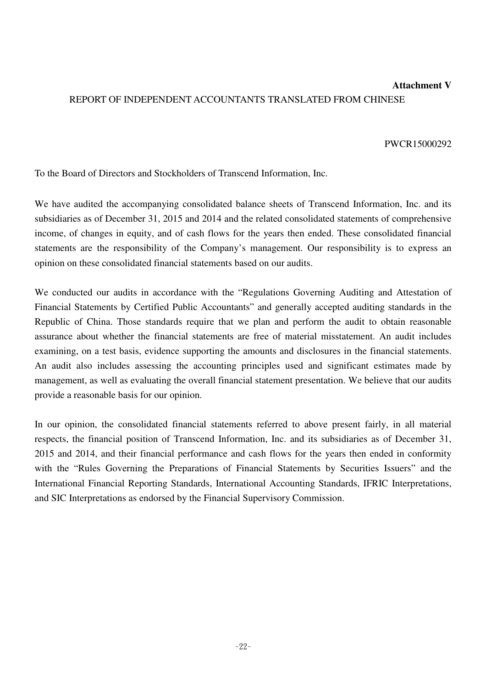# **Attachment V** REPORT OF INDEPENDENT ACCOUNTANTS TRANSLATED FROM CHINESE

#### PWCR15000292

To the Board of Directors and Stockholders of Transcend Information, Inc.

We have audited the accompanying consolidated balance sheets of Transcend Information, Inc. and its subsidiaries as of December 31, 2015 and 2014 and the related consolidated statements of comprehensive income, of changes in equity, and of cash flows for the years then ended. These consolidated financial statements are the responsibility of the Company's management. Our responsibility is to express an opinion on these consolidated financial statements based on our audits.

We conducted our audits in accordance with the "Regulations Governing Auditing and Attestation of Financial Statements by Certified Public Accountants" and generally accepted auditing standards in the Republic of China. Those standards require that we plan and perform the audit to obtain reasonable assurance about whether the financial statements are free of material misstatement. An audit includes examining, on a test basis, evidence supporting the amounts and disclosures in the financial statements. An audit also includes assessing the accounting principles used and significant estimates made by management, as well as evaluating the overall financial statement presentation. We believe that our audits provide a reasonable basis for our opinion.

In our opinion, the consolidated financial statements referred to above present fairly, in all material respects, the financial position of Transcend Information, Inc. and its subsidiaries as of December 31, 2015 and 2014, and their financial performance and cash flows for the years then ended in conformity with the "Rules Governing the Preparations of Financial Statements by Securities Issuers" and the International Financial Reporting Standards, International Accounting Standards, IFRIC Interpretations, and SIC Interpretations as endorsed by the Financial Supervisory Commission.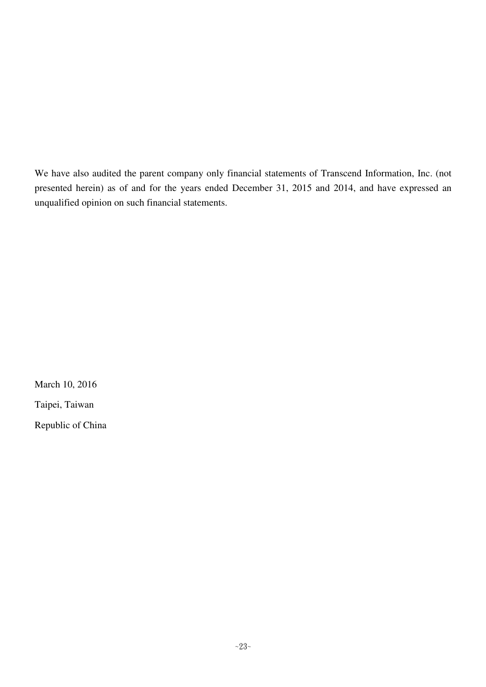We have also audited the parent company only financial statements of Transcend Information, Inc. (not presented herein) as of and for the years ended December 31, 2015 and 2014, and have expressed an unqualified opinion on such financial statements.

March 10, 2016 Taipei, Taiwan Republic of China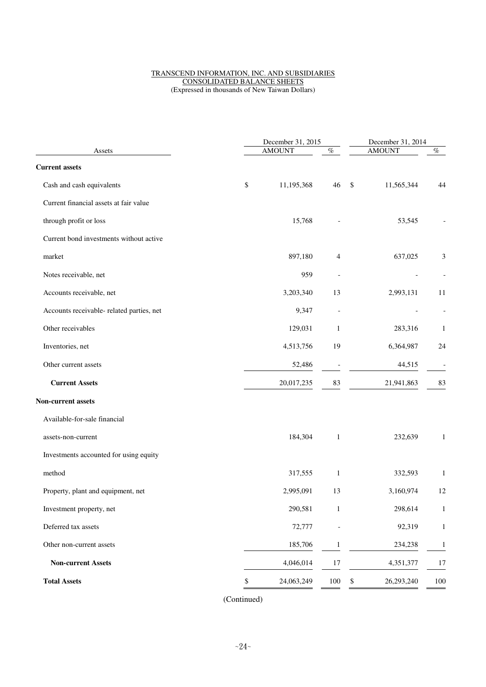#### TRANSCEND INFORMATION, INC. AND SUBSIDIARIES CONSOLIDATED BALANCE SHEETS (Expressed in thousands of New Taiwan Dollars)

|                                           | December 31, 2015 |               |                          |               | December 31, 2014 |                          |  |
|-------------------------------------------|-------------------|---------------|--------------------------|---------------|-------------------|--------------------------|--|
| Assets                                    |                   | <b>AMOUNT</b> | $\%$                     | <b>AMOUNT</b> | $\%$              |                          |  |
| <b>Current assets</b>                     |                   |               |                          |               |                   |                          |  |
| Cash and cash equivalents                 | \$                | 11,195,368    | 46                       | \$            | 11,565,344        | 44                       |  |
| Current financial assets at fair value    |                   |               |                          |               |                   |                          |  |
| through profit or loss                    |                   | 15,768        |                          |               | 53,545            |                          |  |
| Current bond investments without active   |                   |               |                          |               |                   |                          |  |
| market                                    |                   | 897,180       | 4                        |               | 637,025           | 3                        |  |
| Notes receivable, net                     |                   | 959           |                          |               |                   |                          |  |
| Accounts receivable, net                  |                   | 3,203,340     | 13                       |               | 2,993,131         | 11                       |  |
| Accounts receivable- related parties, net |                   | 9,347         | $\overline{a}$           |               |                   |                          |  |
| Other receivables                         |                   | 129,031       | $\mathbf{1}$             |               | 283,316           | 1                        |  |
| Inventories, net                          |                   | 4,513,756     | 19                       |               | 6,364,987         | 24                       |  |
| Other current assets                      |                   | 52,486        | $\overline{\phantom{a}}$ |               | 44,515            | $\overline{\phantom{m}}$ |  |
| <b>Current Assets</b>                     |                   | 20,017,235    | 83                       |               | 21,941,863        | 83                       |  |
| Non-current assets                        |                   |               |                          |               |                   |                          |  |
| Available-for-sale financial              |                   |               |                          |               |                   |                          |  |
| assets-non-current                        |                   | 184,304       | $\mathbf{1}$             |               | 232,639           | $\mathbf{1}$             |  |
| Investments accounted for using equity    |                   |               |                          |               |                   |                          |  |
| method                                    |                   | 317,555       | $\mathbf{1}$             |               | 332,593           | 1                        |  |
| Property, plant and equipment, net        |                   | 2,995,091     | 13                       |               | 3,160,974         | 12                       |  |
| Investment property, net                  |                   | 290,581       | $\mathbf 1$              |               | 298,614           | $\mathbf{1}$             |  |
| Deferred tax assets                       |                   | 72,777        | $\overline{a}$           |               | 92,319            | $\mathbf{1}$             |  |
| Other non-current assets                  |                   | 185,706       | $\mathbf{1}$             |               | 234,238           | $\mathbf{1}$             |  |
| <b>Non-current Assets</b>                 |                   | 4,046,014     | 17                       |               | 4,351,377         | 17                       |  |
| <b>Total Assets</b>                       | \$                | 24,063,249    | $100\,$                  | \$            | 26,293,240        | 100                      |  |
|                                           |                   |               |                          |               |                   |                          |  |

(Continued)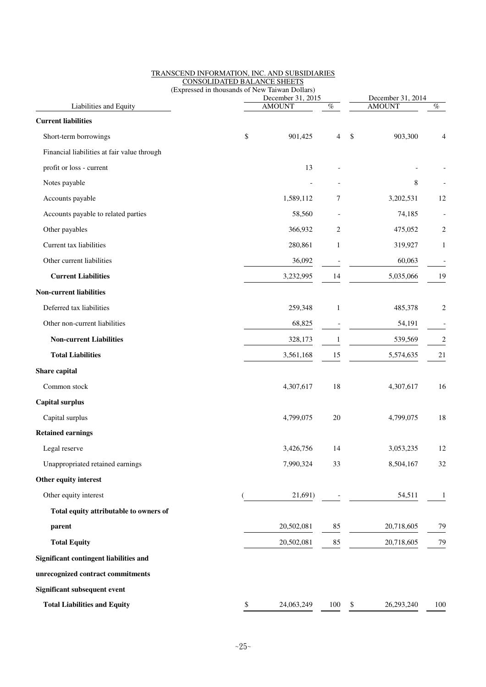|                                             | (Expressed in thousands of New Taiwan Dollars) | December 31, 2014                  |                |                  |                |  |
|---------------------------------------------|------------------------------------------------|------------------------------------|----------------|------------------|----------------|--|
| Liabilities and Equity                      |                                                | December 31, 2015<br><b>AMOUNT</b> | $\%$           | <b>AMOUNT</b>    | $\%$           |  |
| <b>Current liabilities</b>                  |                                                |                                    |                |                  |                |  |
| Short-term borrowings                       | \$                                             | 901,425                            | $\overline{4}$ | \$<br>903,300    |                |  |
| Financial liabilities at fair value through |                                                |                                    |                |                  |                |  |
| profit or loss - current                    |                                                | 13                                 |                |                  |                |  |
| Notes payable                               |                                                |                                    |                | $\,8$            |                |  |
| Accounts payable                            |                                                | 1,589,112                          | 7              | 3,202,531        | 12             |  |
| Accounts payable to related parties         |                                                | 58,560                             |                | 74,185           |                |  |
| Other payables                              |                                                | 366,932                            | 2              | 475,052          | 2              |  |
| Current tax liabilities                     |                                                | 280,861                            | $\mathbf{1}$   | 319,927          | 1              |  |
| Other current liabilities                   |                                                | 36,092                             |                | 60,063           |                |  |
| <b>Current Liabilities</b>                  |                                                | 3,232,995                          | 14             | 5,035,066        | 19             |  |
| <b>Non-current liabilities</b>              |                                                |                                    |                |                  |                |  |
| Deferred tax liabilities                    |                                                | 259,348                            | $\mathbf{1}$   | 485,378          | 2              |  |
| Other non-current liabilities               |                                                | 68,825                             |                | 54,191           |                |  |
| <b>Non-current Liabilities</b>              |                                                | 328,173                            | 1              | 539,569          | $\overline{c}$ |  |
| <b>Total Liabilities</b>                    |                                                | 3,561,168                          | 15             | 5,574,635        | 21             |  |
| Share capital                               |                                                |                                    |                |                  |                |  |
| Common stock                                |                                                | 4,307,617                          | 18             | 4,307,617        | 16             |  |
| <b>Capital surplus</b>                      |                                                |                                    |                |                  |                |  |
| Capital surplus                             |                                                | 4,799,075                          | 20             | 4,799,075        | 18             |  |
| <b>Retained earnings</b>                    |                                                |                                    |                |                  |                |  |
| Legal reserve                               |                                                | 3,426,756                          | 14             | 3,053,235        | 12             |  |
| Unappropriated retained earnings            |                                                | 7,990,324                          | 33             | 8,504,167        | 32             |  |
| Other equity interest                       |                                                |                                    |                |                  |                |  |
| Other equity interest                       |                                                | 21,691)                            |                | 54,511           | 1              |  |
| Total equity attributable to owners of      |                                                |                                    |                |                  |                |  |
| parent                                      |                                                | 20,502,081                         | 85             | 20,718,605       | 79             |  |
| <b>Total Equity</b>                         |                                                | 20,502,081                         | 85             | 20,718,605       | 79             |  |
| Significant contingent liabilities and      |                                                |                                    |                |                  |                |  |
| unrecognized contract commitments           |                                                |                                    |                |                  |                |  |
| Significant subsequent event                |                                                |                                    |                |                  |                |  |
| <b>Total Liabilities and Equity</b>         | \$                                             | 24,063,249                         | 100            | \$<br>26,293,240 | 100            |  |

#### TRANSCEND INFORMATION, INC. AND SUBSIDIARIES CONSOLIDATED BALANCE SHEETS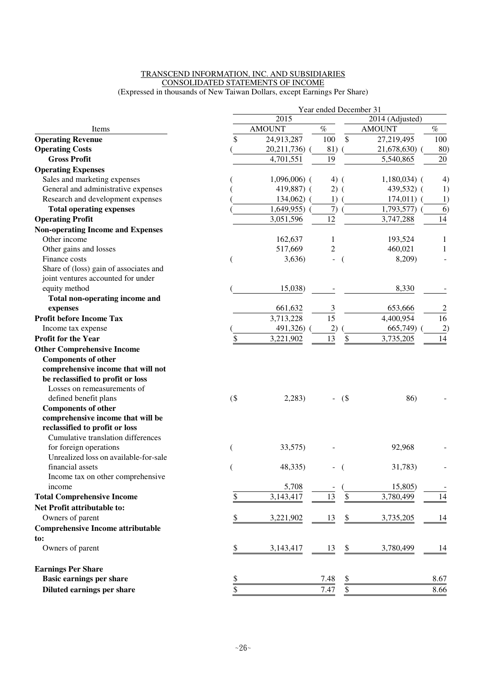## TRANSCEND INFORMATION, INC. AND SUBSIDIARIES CONSOLIDATED STATEMENTS OF INCOME

(Expressed in thousands of New Taiwan Dollars, except Earnings Per Share)

|                                          |        | Year ended December 31 |                 |                |                 |                 |  |  |  |  |
|------------------------------------------|--------|------------------------|-----------------|----------------|-----------------|-----------------|--|--|--|--|
|                                          |        | 2015                   |                 |                | 2014 (Adjusted) |                 |  |  |  |  |
| Items                                    |        | <b>AMOUNT</b>          | $\%$            |                | <b>AMOUNT</b>   | $\%$            |  |  |  |  |
| <b>Operating Revenue</b>                 | \$     | 24,913,287             | 100             | \$             | 27,219,495      | 100             |  |  |  |  |
| <b>Operating Costs</b>                   |        | 20,211,736)            | 81)             |                | 21,678,630)     | 80)             |  |  |  |  |
| <b>Gross Profit</b>                      |        | 4,701,551              | 19              |                | 5,540,865       | 20              |  |  |  |  |
| <b>Operating Expenses</b>                |        |                        |                 |                |                 |                 |  |  |  |  |
| Sales and marketing expenses             |        | $1,096,006$ (          | $4)$ (          |                | $1,180,034$ (   | 4)              |  |  |  |  |
| General and administrative expenses      |        | 419,887) (             | $2)$ (          |                | 439,532) (      | 1)              |  |  |  |  |
| Research and development expenses        |        | 134,062)               | 1)              |                | 174,011)        | 1)              |  |  |  |  |
| <b>Total operating expenses</b>          |        | 1,649,955              | 7)              |                | 1,793,577)      | 6)              |  |  |  |  |
| <b>Operating Profit</b>                  |        | 3,051,596              | 12              |                | 3,747,288       | 14              |  |  |  |  |
| <b>Non-operating Income and Expenses</b> |        |                        |                 |                |                 |                 |  |  |  |  |
| Other income                             |        | 162,637                | 1               |                | 193,524         | 1               |  |  |  |  |
| Other gains and losses                   |        | 517,669                | $\overline{c}$  |                | 460,021         | 1               |  |  |  |  |
| Finance costs                            |        | 3,636)                 |                 | $\overline{ }$ | 8,209)          |                 |  |  |  |  |
| Share of (loss) gain of associates and   |        |                        |                 |                |                 |                 |  |  |  |  |
| joint ventures accounted for under       |        |                        |                 |                |                 |                 |  |  |  |  |
| equity method                            |        | 15,038)                |                 |                | 8,330           |                 |  |  |  |  |
| Total non-operating income and           |        |                        |                 |                |                 |                 |  |  |  |  |
| expenses                                 |        | 661,632                | 3               |                | 653,666         | $\overline{2}$  |  |  |  |  |
| <b>Profit before Income Tax</b>          |        | 3,713,228              | $\overline{15}$ |                | 4,400,954       | $\overline{16}$ |  |  |  |  |
| Income tax expense                       |        | 491,326)               | 2)              |                | 665,749)        | 2)              |  |  |  |  |
| <b>Profit for the Year</b>               | \$     | 3,221,902              | 13              | \$             | 3,735,205       | 14              |  |  |  |  |
| <b>Other Comprehensive Income</b>        |        |                        |                 |                |                 |                 |  |  |  |  |
| <b>Components of other</b>               |        |                        |                 |                |                 |                 |  |  |  |  |
| comprehensive income that will not       |        |                        |                 |                |                 |                 |  |  |  |  |
| be reclassified to profit or loss        |        |                        |                 |                |                 |                 |  |  |  |  |
| Losses on remeasurements of              |        |                        |                 |                |                 |                 |  |  |  |  |
| defined benefit plans                    | $($ \$ | 2,283)                 |                 | (              | 86)             |                 |  |  |  |  |
| <b>Components of other</b>               |        |                        |                 |                |                 |                 |  |  |  |  |
| comprehensive income that will be        |        |                        |                 |                |                 |                 |  |  |  |  |
| reclassified to profit or loss           |        |                        |                 |                |                 |                 |  |  |  |  |
| Cumulative translation differences       |        |                        |                 |                |                 |                 |  |  |  |  |
| for foreign operations                   |        | 33,575)                |                 |                | 92,968          |                 |  |  |  |  |
| Unrealized loss on available-for-sale    |        |                        |                 |                |                 |                 |  |  |  |  |
| financial assets                         |        | 48,335)                |                 |                | 31,783)         |                 |  |  |  |  |
| Income tax on other comprehensive        |        |                        |                 |                |                 |                 |  |  |  |  |
| income                                   |        | 5,708                  |                 |                | 15,805)         |                 |  |  |  |  |
| <b>Total Comprehensive Income</b>        | \$     | 3,143,417              | 13              | \$             | 3,780,499       | 14              |  |  |  |  |
| Net Profit attributable to:              |        |                        |                 |                |                 |                 |  |  |  |  |
| Owners of parent                         | \$     | 3,221,902              | 13              | \$             | 3,735,205       | 14              |  |  |  |  |
| <b>Comprehensive Income attributable</b> |        |                        |                 |                |                 |                 |  |  |  |  |
| to:                                      |        |                        |                 |                |                 |                 |  |  |  |  |
| Owners of parent                         | \$     | 3,143,417              | 13              | \$             | 3,780,499       | 14              |  |  |  |  |
| <b>Earnings Per Share</b>                |        |                        |                 |                |                 |                 |  |  |  |  |
| <b>Basic earnings per share</b>          | \$     |                        | 7.48            | \$             |                 | 8.67            |  |  |  |  |
| Diluted earnings per share               | \$     |                        | 7.47            | \$             |                 | 8.66            |  |  |  |  |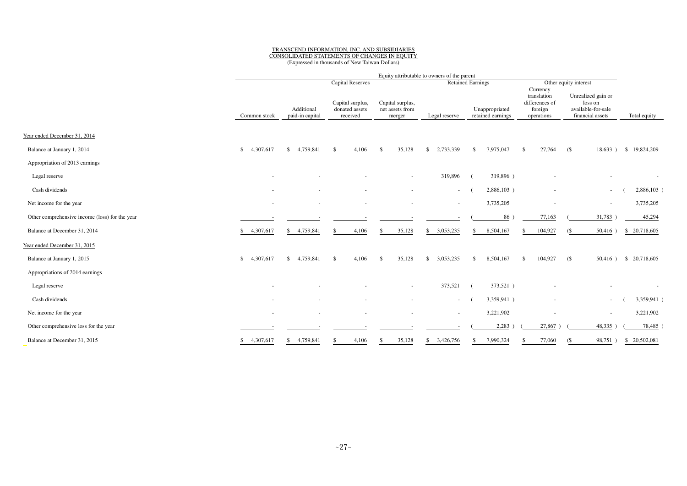# TRANSCEND INFORMATION, INC. AND SUBSIDIARIES CONSOLIDATED STATEMENTS OF CHANGES IN EQUITY

(Expressed in thousands of New Taiwan Dollars)

|                                                |                 |                               |                                                |                                               | Equity attributable to owners of the parent |                                     |                                                                    |                                                                         |                        |
|------------------------------------------------|-----------------|-------------------------------|------------------------------------------------|-----------------------------------------------|---------------------------------------------|-------------------------------------|--------------------------------------------------------------------|-------------------------------------------------------------------------|------------------------|
|                                                |                 |                               | <b>Capital Reserves</b>                        |                                               |                                             | <b>Retained Earnings</b>            |                                                                    | Other equity interest                                                   |                        |
|                                                | Common stock    | Additional<br>paid-in capital | Capital surplus,<br>donated assets<br>received | Capital surplus,<br>net assets from<br>merger | Legal reserve                               | Unappropriated<br>retained earnings | Currency<br>translation<br>differences of<br>foreign<br>operations | Unrealized gain or<br>loss on<br>available-for-sale<br>financial assets | Total equity           |
| Year ended December 31, 2014                   |                 |                               |                                                |                                               |                                             |                                     |                                                                    |                                                                         |                        |
| Balance at January 1, 2014                     | 4,307,617<br>\$ | \$4,759,841                   | $\mathcal{S}$<br>4,106                         | 35,128<br>$\mathcal{S}$                       | 2,733,339<br>$\mathbb{S}$                   | 7,975,047<br>\$                     | 27,764<br>\$                                                       | (<br>18,633)                                                            | \$19,824,209           |
| Appropriation of 2013 earnings                 |                 |                               |                                                |                                               |                                             |                                     |                                                                    |                                                                         |                        |
| Legal reserve                                  |                 |                               |                                                |                                               | 319,896                                     | 319,896)                            |                                                                    |                                                                         |                        |
| Cash dividends                                 |                 |                               |                                                |                                               | $\sim$                                      | 2,886,103)                          |                                                                    | $\overline{\phantom{a}}$                                                | 2,886,103)             |
| Net income for the year                        |                 |                               |                                                |                                               | $\sim$                                      | 3,735,205                           |                                                                    | $\overline{\phantom{a}}$                                                | 3,735,205              |
| Other comprehensive income (loss) for the year |                 |                               |                                                |                                               |                                             | 86 <sup>°</sup>                     | 77,163                                                             | 31,783                                                                  | 45,294                 |
| Balance at December 31, 2014                   | 4,307,617<br>\$ | \$ 4,759,841                  | 4,106                                          | 35,128<br>-S                                  | \$3,053,235                                 | 8,504,167<br>\$                     | 104,927                                                            | $50,416$ )<br><b>(S</b>                                                 | \$ 20,718,605          |
| Year ended December 31, 2015                   |                 |                               |                                                |                                               |                                             |                                     |                                                                    |                                                                         |                        |
| Balance at January 1, 2015                     | \$<br>4,307,617 | \$4,759,841                   | $\mathbb{S}$<br>4,106                          | 35,128<br>-S                                  | 3,053,235<br><sup>\$</sup>                  | 8,504,167<br><sup>\$</sup>          | 104,927<br>\$                                                      | (                                                                       | 50,416 ) \$ 20,718,605 |
| Appropriations of 2014 earnings                |                 |                               |                                                |                                               |                                             |                                     |                                                                    |                                                                         |                        |
| Legal reserve                                  |                 |                               |                                                |                                               | 373,521                                     | 373,521)                            |                                                                    |                                                                         |                        |
| Cash dividends                                 |                 |                               |                                                |                                               | $\sim$                                      | 3,359,941)                          |                                                                    | $\overline{\phantom{a}}$                                                | 3,359,941)             |
| Net income for the year                        | $\sim$          | $\sim$                        |                                                | $\overline{\phantom{a}}$                      | $\sim$                                      | 3,221,902                           | ٠                                                                  | $\overline{\phantom{a}}$                                                | 3,221,902              |
| Other comprehensive loss for the year          |                 |                               |                                                |                                               |                                             | 2,283                               | 27,867                                                             | 48,335                                                                  | 78,485                 |
| Balance at December 31, 2015                   | 4,307,617<br>\$ | \$4,759,841                   | 4,106                                          | 35,128<br>-S                                  | 3,426,756<br>S.                             | 7,990,324                           | 77,060                                                             | 98,751<br><b>(S</b>                                                     | \$ 20,502,081          |